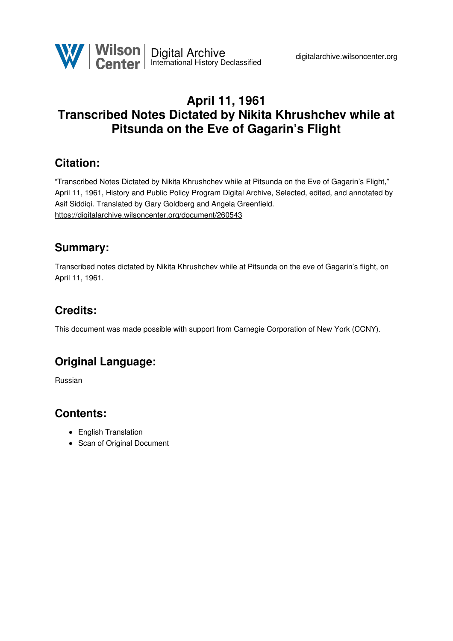

## **April 11, 1961 Transcribed Notes Dictated by Nikita Khrushchev while at Pitsunda on the Eve of Gagarin's Flight**

### **Citation:**

"Transcribed Notes Dictated by Nikita Khrushchev while at Pitsunda on the Eve of Gagarin's Flight," April 11, 1961, History and Public Policy Program Digital Archive, Selected, edited, and annotated by Asif Siddiqi. Translated by Gary Goldberg and Angela Greenfield. <https://digitalarchive.wilsoncenter.org/document/260543>

### **Summary:**

Transcribed notes dictated by Nikita Khrushchev while at Pitsunda on the eve of Gagarin's flight, on April 11, 1961.

# **Credits:**

This document was made possible with support from Carnegie Corporation of New York (CCNY).

# **Original Language:**

Russian

# **Contents:**

- English Translation
- <span id="page-0-0"></span>• Scan of Original Document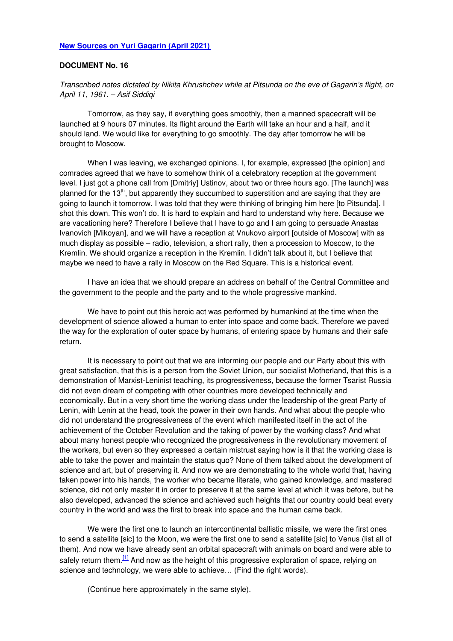### **New [Sources](https://www.wilsoncenter.org/blog-post/new-sources-yuri-gagarin) on Yuri Gagarin (April 2021)**

#### **DOCUMENT No. 16**

*Transcribed notes dictated by Nikita Khrushchev while at Pitsunda on the eve of Gagarin's flight, on April 11, 1961. – Asif Siddiqi*

Tomorrow, as they say, if everything goes smoothly, then a manned spacecraft will be launched at 9 hours 07 minutes. Its flight around the Earth will take an hour and a half, and it should land. We would like for everything to go smoothly. The day after tomorrow he will be brought to Moscow.

When I was leaving, we exchanged opinions. I, for example, expressed [the opinion] and comrades agreed that we have to somehow think of a celebratory reception at the government level. I just got a phone call from [Dmitriy] Ustinov, about two or three hours ago. [The launch] was planned for the 13<sup>th</sup>, but apparently they succumbed to superstition and are saying that they are going to launch it tomorrow. I was told that they were thinking of bringing him here [to Pitsunda]. I shot this down. This won't do. It is hard to explain and hard to understand why here. Because we are vacationing here? Therefore I believe that I have to go and I am going to persuade Anastas Ivanovich [Mikoyan], and we will have a reception at Vnukovo airport [outside of Moscow] with as much display as possible – radio, television, a short rally, then a procession to Moscow, to the Kremlin. We should organize a reception in the Kremlin. I didn't talk about it, but I believe that maybe we need to have a rally in Moscow on the Red Square. This is a historical event.

I have an idea that we should prepare an address on behalf of the Central Committee and the government to the people and the party and to the whole progressive mankind.

We have to point out this heroic act was performed by humankind at the time when the development of science allowed a human to enter into space and come back. Therefore we paved the way for the exploration of outer space by humans, of entering space by humans and their safe return.

It is necessary to point out that we are informing our people and our Party about this with great satisfaction, that this is a person from the Soviet Union, our socialist Motherland, that this is a demonstration of Marxist-Leninist teaching, its progressiveness, because the former Tsarist Russia did not even dream of competing with other countries more developed technically and economically. But in a very short time the working class under the leadership of the great Party of Lenin, with Lenin at the head, took the power in their own hands. And what about the people who did not understand the progressiveness of the event which manifested itself in the act of the achievement of the October Revolution and the taking of power by the working class? And what about many honest people who recognized the progressiveness in the revolutionary movement of the workers, but even so they expressed a certain mistrust saying how is it that the working class is able to take the power and maintain the status quo? None of them talked about the development of science and art, but of preserving it. And now we are demonstrating to the whole world that, having taken power into his hands, the worker who became literate, who gained knowledge, and mastered science, did not only master it in order to preserve it at the same level at which it was before, but he also developed, advanced the science and achieved such heights that our country could beat every country in the world and was the first to break into space and the human came back.

<span id="page-1-0"></span>We were the first one to launch an intercontinental ballistic missile, we were the first ones to send a satellite [sic] to the Moon, we were the first one to send a satellite [sic] to Venus (list all of them). And now we have already sent an orbital spacecraft with animals on board and were able to safely return them.<sup>[\[1\]](#page-1-0)</sup> And now as the height of this progressive exploration of space, relying on science and technology, we were able to achieve… (Find the right words).

(Continue here approximately in the same style).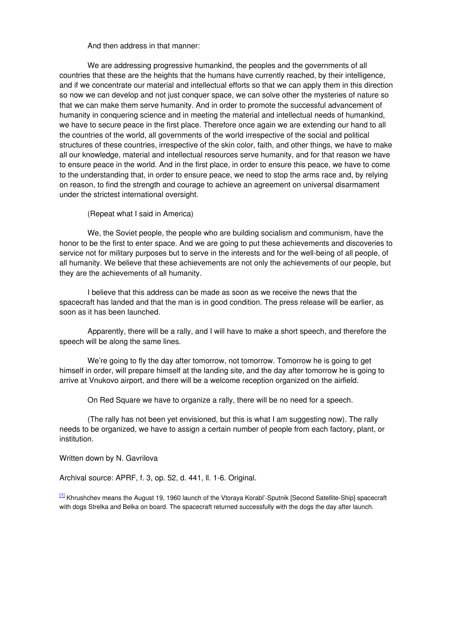#### And then address in that manner:

We are addressing progressive humankind, the peoples and the governments of all countries that these are the heights that the humans have currently reached, by their intelligence, and if we concentrate our material and intellectual efforts so that we can apply them in this direction so now we can develop and not just conquer space, we can solve other the mysteries of nature so that we can make them serve humanity. And in order to promote the successful advancement of humanity in conquering science and in meeting the material and intellectual needs of humankind, we have to secure peace in the first place. Therefore once again we are extending our hand to all the countries of the world, all governments of the world irrespective of the social and political structures of these countries, irrespective of the skin color, faith, and other things, we have to make all our knowledge, material and intellectual resources serve humanity, and for that reason we have to ensure peace in the world. And in the first place, in order to ensure this peace, we have to come to the understanding that, in order to ensure peace, we need to stop the arms race and, by relying on reason, to find the strength and courage to achieve an agreement on universal disarmament under the strictest international oversight.

#### (Repeat what I said in America)

We, the Soviet people, the people who are building socialism and communism, have the honor to be the first to enter space. And we are going to put these achievements and discoveries to service not for military purposes but to serve in the interests and for the well-being of all people, of all humanity. We believe that these achievements are not only the achievements of our people, but they are the achievements of all humanity.

I believe that this address can be made as soon as we receive the news that the spacecraft has landed and that the man is in good condition. The press release will be earlier, as soon as it has been launched.

Apparently, there will be a rally, and I will have to make a short speech, and therefore the speech will be along the same lines.

We're going to fly the day after tomorrow, not tomorrow. Tomorrow he is going to get himself in order, will prepare himself at the landing site, and the day after tomorrow he is going to arrive at Vnukovo airport, and there will be a welcome reception organized on the airfield.

On Red Square we have to organize a rally, there will be no need for a speech.

(The rally has not been yet envisioned, but this is what I am suggesting now). The rally needs to be organized, we have to assign a certain number of people from each factory, plant, or institution.

Written down by N. Gavrilova

Archival source: APRF, f. 3, op. 52, d. 441, ll. 1-6. Original.

[\[1\]](#page-0-0) Khrushchev means the August 19, 1960 launch of the Vtoraya Korabl'-Sputnik [Second Satellite-Ship] spacecraft with dogs Strelka and Belka on board. The spacecraft returned successfully with the dogs the day after launch.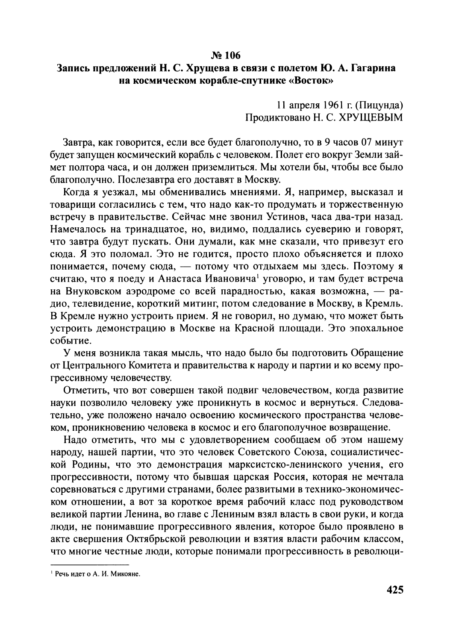#### No 106

### Запись предложений Н. С. Хрущева в связи с полетом Ю. А. Гагарина на космическом корабле-спутнике «Восток»

11 апреля 1961 г. (Пицунда) Продиктовано Н. С. ХРУЩЕВЫМ

Завтра, как говорится, если все будет благополучно, то в 9 часов 07 минут будет запущен космический корабль с человеком. Полет его вокруг Земли займет полтора часа, и он должен приземлиться. Мы хотели бы, чтобы все было благополучно. Послезавтра его доставят в Москву.

Когда я уезжал, мы обменивались мнениями. Я, например, высказал и товарищи согласились с тем, что надо как-то продумать и торжественную встречу в правительстве. Сейчас мне звонил Устинов, часа два-три назад. Намечалось на тринадцатое, но, видимо, поддались суеверию и говорят, что завтра будут пускать. Они думали, как мне сказали, что привезут его сюда. Я это поломал. Это не годится, просто плохо объясняется и плохо понимается, почему сюда, - потому что отдыхаем мы здесь. Поэтому я считаю, что я поеду и Анастаса Ивановича<sup>1</sup> уговорю, и там будет встреча на Внуковском аэродроме со всей парадностью, какая возможна, - радио, телевидение, короткий митинг, потом следование в Москву, в Кремль. В Кремле нужно устроить прием. Я не говорил, но думаю, что может быть устроить демонстрацию в Москве на Красной площади. Это эпохальное событие.

У меня возникла такая мысль, что надо было бы подготовить Обращение от Центрального Комитета и правительства к народу и партии и ко всему прогрессивному человечеству.

Отметить, что вот совершен такой подвиг человечеством, когда развитие науки позволило человеку уже проникнуть в космос и вернуться. Следовательно, уже положено начало освоению космического пространства человеком, проникновению человека в космос и его благополучное возвращение.

Надо отметить, что мы с удовлетворением сообщаем об этом нашему народу, нашей партии, что это человек Советского Союза, социалистической Родины, что это демонстрация марксистско-ленинского учения, его прогрессивности, потому что бывшая царская Россия, которая не мечтала соревноваться с другими странами, более развитыми в технико-экономическом отношении, а вот за короткое время рабочий класс под руководством великой партии Ленина, во главе с Лениным взял власть в свои руки, и когда люди, не понимавшие прогрессивного явления, которое было проявлено в акте свершения Октябрьской революции и взятия власти рабочим классом, что многие честные люди, которые понимали прогрессивность в революци-

<sup>1</sup> Речь илет о А. И. Микояне.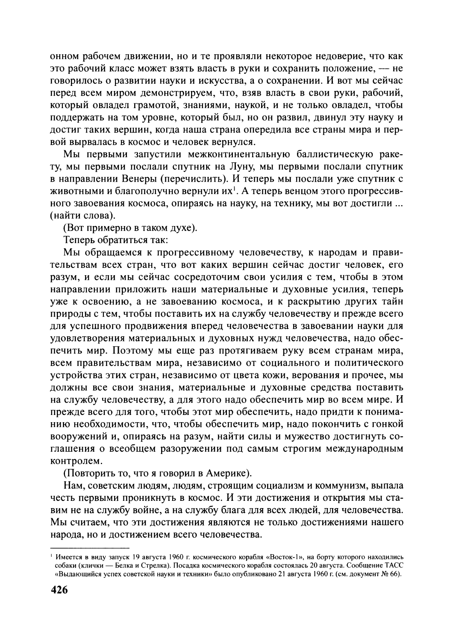онном рабочем движении, но и те проявляли некоторое недоверие, что как это рабочий класс может взять власть в руки и сохранить положение, -- не говорилось о развитии науки и искусства, а о сохранении. И вот мы сейчас перед всем миром демонстрируем, что, взяв власть в свои руки, рабочий, который овладел грамотой, знаниями, наукой, и не только овладел, чтобы поддержать на том уровне, который был, но он развил, двинул эту науку и достиг таких вершин, когда наша страна опередила все страны мира и первой вырвалась в космос и человек вернулся.

Мы первыми запустили межконтинентальную баллистическую ракету, мы первыми послали спутник на Луну, мы первыми послали спутник в направлении Венеры (перечислить). И теперь мы послали уже спутник с животными и благополучно вернули их<sup>1</sup>. А теперь венцом этого прогрессивного завоевания космоса, опираясь на науку, на технику, мы вот достигли ... (найти слова).

(Вот примерно в таком духе).

Теперь обратиться так:

Мы обращаемся к прогрессивному человечеству, к народам и правительствам всех стран, что вот каких вершин сейчас достиг человек, его разум, и если мы сейчас сосредоточим свои усилия с тем, чтобы в этом направлении приложить наши материальные и духовные усилия, теперь уже к освоению, а не завоеванию космоса, и к раскрытию других тайн природы с тем, чтобы поставить их на службу человечеству и прежде всего для успешного продвижения вперед человечества в завоевании науки для удовлетворения материальных и духовных нужд человечества, надо обеспечить мир. Поэтому мы еще раз протягиваем руку всем странам мира, всем правительствам мира, независимо от социального и политического устройства этих стран, независимо от цвета кожи, верования и прочее, мы должны все свои знания, материальные и духовные средства поставить на службу человечеству, а для этого надо обеспечить мир во всем мире. И прежде всего для того, чтобы этот мир обеспечить, надо придти к пониманию необходимости, что, чтобы обеспечить мир, надо покончить с гонкой вооружений и, опираясь на разум, найти силы и мужество достигнуть соглашения о всеобщем разоружении под самым строгим международным контролем.

(Повторить то, что я говорил в Америке).

Нам, советским людям, людям, строящим социализм и коммунизм, выпала честь первыми проникнуть в космос. И эти достижения и открытия мы ставим не на службу войне, а на службу блага для всех людей, для человечества. Мы считаем, что эти достижения являются не только достижениями нашего народа, но и достижением всего человечества.

Имеется в виду запуск 19 августа 1960 г. космического корабля «Восток-1», на борту которого находились собаки (клички - Белка и Стрелка). Посадка космического корабля состоялась 20 августа. Сообщение ТАСС «Выдающийся успех советской науки и техники» было опубликовано 21 августа 1960 г. (см. документ № 66).